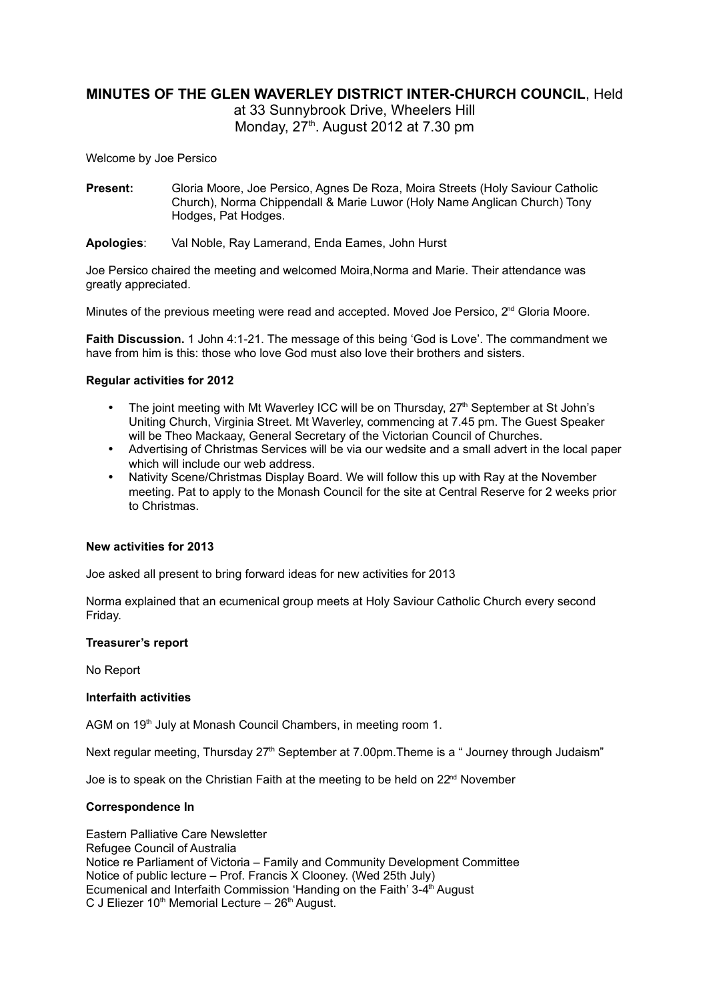# **MINUTES OF THE GLEN WAVERLEY DISTRICT INTER-CHURCH COUNCIL**, Held

at 33 Sunnybrook Drive, Wheelers Hill Monday,  $27<sup>th</sup>$ . August 2012 at 7.30 pm

Welcome by Joe Persico

- **Present:** Gloria Moore, Joe Persico, Agnes De Roza, Moira Streets (Holy Saviour Catholic Church), Norma Chippendall & Marie Luwor (Holy Name Anglican Church) Tony Hodges, Pat Hodges.
- **Apologies**: Val Noble, Ray Lamerand, Enda Eames, John Hurst

Joe Persico chaired the meeting and welcomed Moira,Norma and Marie. Their attendance was greatly appreciated.

Minutes of the previous meeting were read and accepted. Moved Joe Persico, 2<sup>nd</sup> Gloria Moore.

**Faith Discussion.** 1 John 4:1-21. The message of this being 'God is Love'. The commandment we have from him is this: those who love God must also love their brothers and sisters.

### **Regular activities for 2012**

- The joint meeting with Mt Waverley ICC will be on Thursday,  $27<sup>th</sup>$  September at St John's Uniting Church, Virginia Street. Mt Waverley, commencing at 7.45 pm. The Guest Speaker will be Theo Mackaay, General Secretary of the Victorian Council of Churches.
- Advertising of Christmas Services will be via our wedsite and a small advert in the local paper which will include our web address.
- Nativity Scene/Christmas Display Board. We will follow this up with Ray at the November meeting. Pat to apply to the Monash Council for the site at Central Reserve for 2 weeks prior to Christmas.

#### **New activities for 2013**

Joe asked all present to bring forward ideas for new activities for 2013

Norma explained that an ecumenical group meets at Holy Saviour Catholic Church every second Friday.

#### **Treasurer's report**

No Report

#### **Interfaith activities**

AGM on 19<sup>th</sup> July at Monash Council Chambers, in meeting room 1.

Next regular meeting, Thursday 27<sup>th</sup> September at 7.00pm. Theme is a "Journey through Judaism"

Joe is to speak on the Christian Faith at the meeting to be held on 22<sup>nd</sup> November

# **Correspondence In**

Eastern Palliative Care Newsletter Refugee Council of Australia Notice re Parliament of Victoria – Family and Community Development Committee Notice of public lecture – Prof. Francis X Clooney. (Wed 25th July) Ecumenical and Interfaith Commission 'Handing on the Faith' 3-4<sup>th</sup> August C J Eliezer  $10<sup>th</sup>$  Memorial Lecture –  $26<sup>th</sup>$  August.